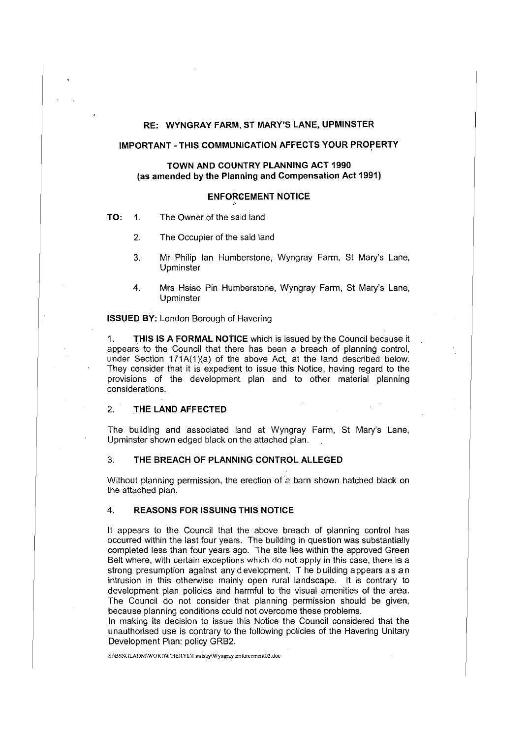# **RE: WYNGRAY FARM, ST MARY'S LANE, UPMINSTER**

# **IMPORTANT - THIS COMMUNICATION AFFECTS YOUR PROPERTY**

# **TOWN AND COUNTRY PLANNING ACT 1990 (as amended by·the Planning and Compensation Act 1991)**

#### **ENFORCEMENT NOTICE**

•'

- **TO: 1.** The Owner of the said land
	- 2. The Occupier of the said land
	- 3. Mr Philip Ian Humberstone, Wyngray Farm, St Mary's Lane, Upminster
	- 4. Mrs Hsiao Pin Humberstone, Wyngray Farm, St Mary's Lane, Upminster

**ISSUED BY:** London Borough of Havering

1. **THIS IS A FORMAL NOTICE** which is issued bythe Council because it appears to the Council that there has been a breach of planning control, under Section 171A(1)(a) of the above Act, at the land described below. They consider that it is expedient to issue this Notice, having regard to the provisions of the development plan and to other material planning considerations.

# 2. **THE LAND AFFECTED**

The building and associated land at Wyngray Farm, St Mary's Lane, Upminster shown edged black on the attached plan.

# 3. **THE BREACH OF PLANNING CONTROL ALLEGED**

Without planning permission, the erection of a barn shown hatched black on the attached plan.

## 4. **REASONS FOR ISSUING THIS NOTICE**

It appears to the Council that the above breach of planning control has occurred within the last four years. The building in question was substantially completed less than four years ago. The site lies within the approved Green Belt where, with certain exceptions which do not apply in this case, there is a strong presumption against any development. T he building a ppears as an intrusion in this otherwise mainly open rural landscape. It is contrary to development plan policies and harmful to the visual amenities of the area. The Council do not consider that planning permission should be given, because planning conditions could not overcome these problems.

In making its decision to issue this Notice the Council considered that the unauthorised use is contrary to the following policies of the Havering Unitary Development Plan: policy GRB2.

**S:\BSSGLADM\WORD\CHERYL\Lindsay\Wyngray Enforcement02.doc**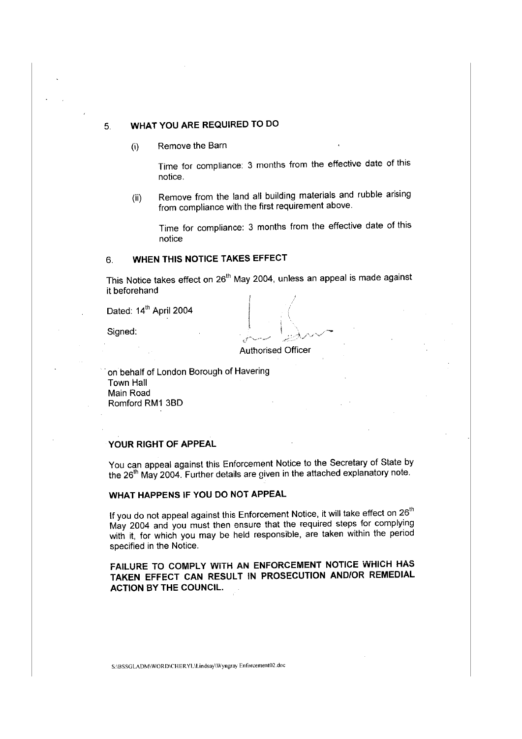# 5. **WHAT YOU ARE REQUIRED TO DO**

(i) Remove the Barn

Time for compliance: 3 months from the effective date of this notice.

(ii) Remove from the land all building materials and rubble arising from compliance with the first requirement above.

Time for compliance: 3 months from the effective date of this notice

# 6. **WHEN THIS NOTICE TAKES EFFECT**

This Notice takes effect on 26<sup>th</sup> May 2004, unless an appeal is made against it beforehand

Dated: 14<sup>th</sup> April 2004

Signed:

Authorised Officer

on behalf of London Borough of Havering Town Hall Main Road Romford RM1 3BD

# **YOUR RIGHT OF APPEAL**

You can appeal against this Enforcement Notice to the Secretary of State by the 26<sup>th</sup> May 2004. Further details are given in the attached explanatory note.

# **WHAT HAPPENS IF YOU DO NOT APPEAL**

If you do not appeal against this Enforcement Notice, it will take effect on  $26<sup>th</sup>$ May 2004 and you must then ensure that the required steps for complying with it, for which you may be held responsible, are taken within the period specified in the Notice.

**FAILURE TO COMPLY WITH AN ENFORCEMENT NOTICE WHICH HAS TAKEN EFFECT CAN RESULT IN PROSECUTION AND/OR REMEDIAL ACTION BY THE COUNCIL.** 

S:\BSSGLADM\WORD\CHERYL\Lindsay\ Wyngray Enforcement02.doc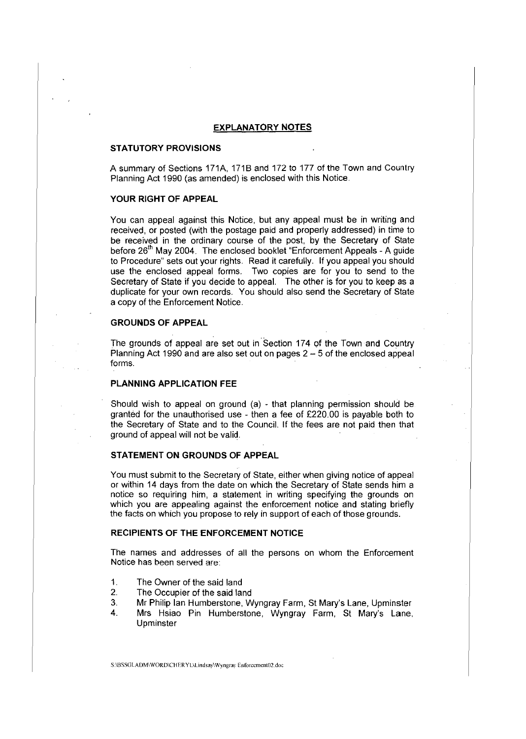#### **EXPLANATORY NOTES**

#### **STATUTORY PROVISIONS**

A summary of Sections 171A, 1718 and 172 to 177 of the Town and Country Planning Act 1990 (as amended) is enclosed with this Notice.

# **YOUR RIGHT OF APPEAL**

You can appeal against this Notice, but any appeal must be in writing and received, or posted (with the postage paid and properly addressed) in time to be received in the ordinary course of the post, by the Secretary of State before 26<sup>th</sup> May 2004. The enclosed booklet "Enforcement Appeals - A guide to Procedure" sets out your rights. Read it carefully. If you appeal you should use the enclosed appeal forms. Two copies are for you to send to the Secretary of State if you decide to appeal. The other is for you to keep as a duplicate for your own records. You should also send the Secretary of State a copy of the Enforcement Notice.

## **GROUNDS OF APPEAL**

The grounds of appeal are set out in Section 174 of the Town and Country Planning Act 1990 and are also set out on pages  $2 - 5$  of the enclosed appeal forms.

#### **PLANNING APPLICATION FEE**

Should wish to appeal on ground (a) - that planning permission should be granted for the unauthorised use - then a fee of £220.00 is payable both to the Secretary of State and to the Council. If the fees are not paid then that ground of appeal will not be valid.

# **STATEMENT ON GROUNDS OF APPEAL**

You must submit to the Secretary of State, either when giving notice of appeal or within 14 days from the date on which the Secretary of State sends him a notice so requiring him, a statement in writing specifying the grounds on which you are appealing against the enforcement notice and stating briefly the facts on which you propose to rely in support of each of those grounds.

## **RECIPIENTS OF THE ENFORCEMENT NOTICE**

The names and addresses of all the persons on whom the Enforcement Notice has been served are:

- 1. The Owner of the said land
- 2. The Occupier of the said land
- 3. Mr Philip Ian Humberstone, Wyngray Farm, St Mary's Lane, Upminster
- 4. Mrs Hsiao Pin Humberstone, Wyngray Farm, St Mary's Lane, Upminster

S:\BSSGLADM\WORD\CHERYL\Lindsay\Wyngray Enforcement02.doc